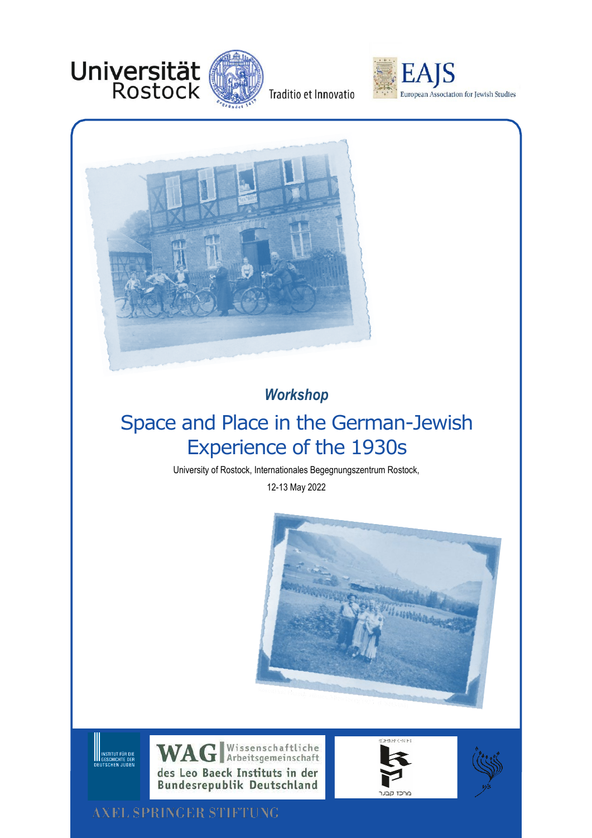



Traditio et Innovatio





# *Workshop*

# Space and Place in the German-Jewish Experience of the 1930s

University of Rostock, Internationales Begegnungszentrum Rostock,

12-13 May 2022









**AXEL SPRINGER STIFTUNG** 

**SERVIT DE SERVIT DE SERVIT DE SERVIT DE SERVIT DE SERVIT DE SERVIT DE SERVIT DE SERVIT DE SERVIT DE SE**<br>DE UTSCHEN JUDEN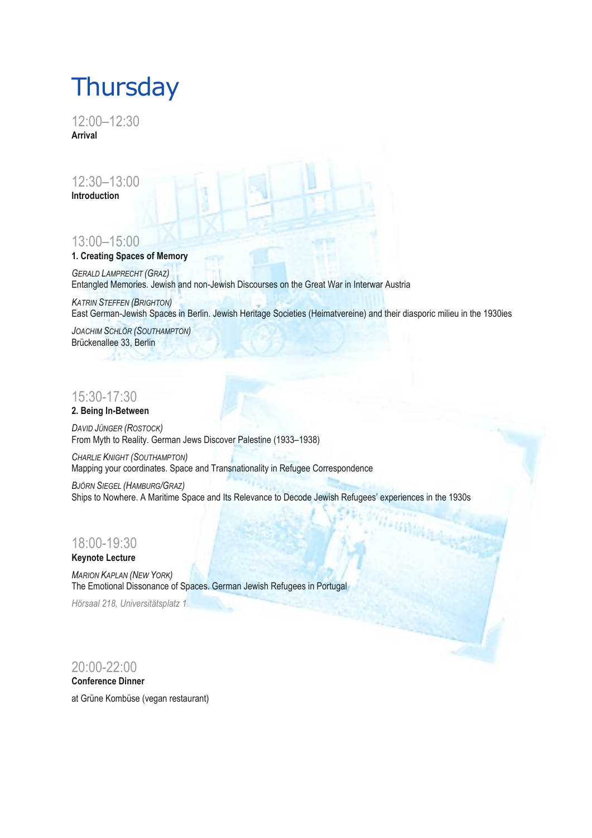# **Thursday**

12:00–12:30 **Arrival**

12:30–13:00 **Introduction** 

# 13:00–15:00

### **1. Creating Spaces of Memory**

*GERALD LAMPRECHT (GRAZ)* Entangled Memories. Jewish and non-Jewish Discourses on the Great War in Interwar Austria

*KATRIN STEFFEN (BRIGHTON)* East German-Jewish Spaces in Berlin. Jewish Heritage Societies (Heimatvereine) and their diasporic milieu in the 1930ies

*JOACHIM SCHLÖR (SOUTHAMPTON)* Brückenallee 33, Berlin

# 15:30-17:30

#### **2. Being In-Between**

*DAVID JÜNGER (ROSTOCK)* From Myth to Reality. German Jews Discover Palestine (1933–1938)

*CHARLIE KNIGHT (SOUTHAMPTON)* Mapping your coordinates. Space and Transnationality in Refugee Correspondence

*BJÖRN SIEGEL (HAMBURG/GRAZ)* Ships to Nowhere. A Maritime Space and Its Relevance to Decode Jewish Refugees' experiences in the 1930s

# 18:00-19:30

#### **Keynote Lecture**

*MARION KAPLAN (NEW YORK)* The Emotional Dissonance of Spaces. German Jewish Refugees in Portugal

*Hörsaal 218, Universitätsplatz 1*

### 20:00-22:00

#### **Conference Dinner**

at [Grüne Kombüse](https://gruenekombuese.de/) (vegan restaurant)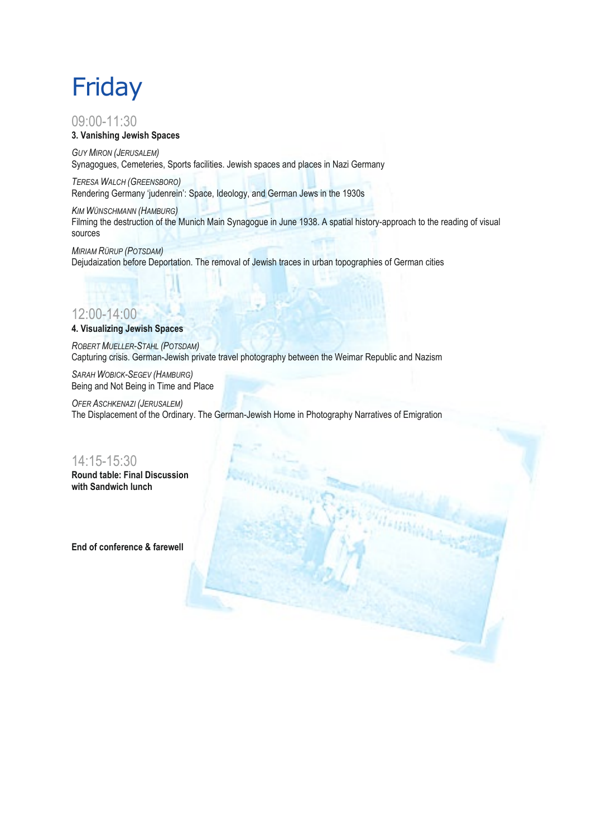# Friday

#### 09:00-11:30 **3. Vanishing Jewish Spaces**

*GUY MIRON (JERUSALEM)* Synagogues, Cemeteries, Sports facilities. Jewish spaces and places in Nazi Germany

*TERESA WALCH (GREENSBORO)* Rendering Germany 'judenrein': Space, Ideology, and German Jews in the 1930s

*KIM WÜNSCHMANN (HAMBURG)* Filming the destruction of the Munich Main Synagogue in June 1938. A spatial history-approach to the reading of visual sources

*MIRIAM RÜRUP (POTSDAM)* Dejudaization before Deportation. The removal of Jewish traces in urban topographies of German cities

# 12:00-14:00

#### **4. Visualizing Jewish Spaces**

*ROBERT MUELLER-STAHL (POTSDAM)* Capturing crisis. German-Jewish private travel photography between the Weimar Republic and Nazism

*SARAH WOBICK-SEGEV (HAMBURG)* Being and Not Being in Time and Place

*OFER ASCHKENAZI (JERUSALEM)* The Displacement of the Ordinary. The German-Jewish Home in Photography Narratives of Emigration

## 14:15-15:30 **Round table: Final Discussion**

**with Sandwich lunch** 

**End of conference & farewell**